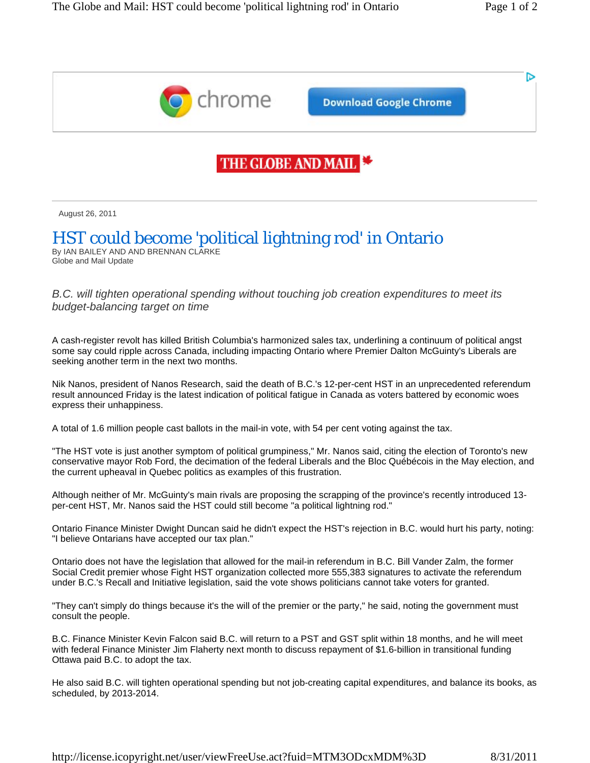D



**Download Google Chrome** 

## THE GLOBE AND MAIL

August 26, 2011

## HST could become 'political lightning rod' in Ontario

By IAN BAILEY AND AND BRENNAN CLARKE Globe and Mail Update

*B.C. will tighten operational spending without touching job creation expenditures to meet its budget-balancing target on time* 

A cash-register revolt has killed British Columbia's harmonized sales tax, underlining a continuum of political angst some say could ripple across Canada, including impacting Ontario where Premier Dalton McGuinty's Liberals are seeking another term in the next two months.

Nik Nanos, president of Nanos Research, said the death of B.C.'s 12-per-cent HST in an unprecedented referendum result announced Friday is the latest indication of political fatigue in Canada as voters battered by economic woes express their unhappiness.

A total of 1.6 million people cast ballots in the mail-in vote, with 54 per cent voting against the tax.

"The HST vote is just another symptom of political grumpiness," Mr. Nanos said, citing the election of Toronto's new conservative mayor Rob Ford, the decimation of the federal Liberals and the Bloc Québécois in the May election, and the current upheaval in Quebec politics as examples of this frustration.

Although neither of Mr. McGuinty's main rivals are proposing the scrapping of the province's recently introduced 13 per-cent HST, Mr. Nanos said the HST could still become "a political lightning rod."

Ontario Finance Minister Dwight Duncan said he didn't expect the HST's rejection in B.C. would hurt his party, noting: "I believe Ontarians have accepted our tax plan."

Ontario does not have the legislation that allowed for the mail-in referendum in B.C. Bill Vander Zalm, the former Social Credit premier whose Fight HST organization collected more 555,383 signatures to activate the referendum under B.C.'s Recall and Initiative legislation, said the vote shows politicians cannot take voters for granted.

"They can't simply do things because it's the will of the premier or the party," he said, noting the government must consult the people.

B.C. Finance Minister Kevin Falcon said B.C. will return to a PST and GST split within 18 months, and he will meet with federal Finance Minister Jim Flaherty next month to discuss repayment of \$1.6-billion in transitional funding Ottawa paid B.C. to adopt the tax.

He also said B.C. will tighten operational spending but not job-creating capital expenditures, and balance its books, as scheduled, by 2013-2014.